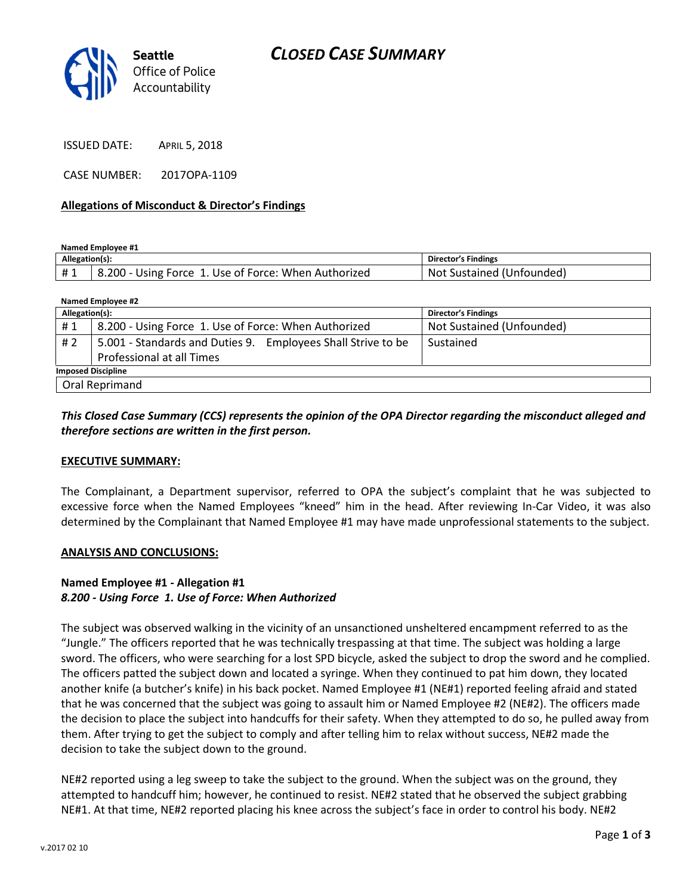

ISSUED DATE: APRIL 5, 2018

CASE NUMBER: 2017OPA-1109

#### Allegations of Misconduct & Director's Findings

Named Employee #1

| Allegation(s): |                                                      | <b>Director's Findings</b> |
|----------------|------------------------------------------------------|----------------------------|
|                | 8.200 - Using Force 1. Use of Force: When Authorized | Not Sustained (Unfounded)  |

| Named Employee #2         |                                                              |                            |  |
|---------------------------|--------------------------------------------------------------|----------------------------|--|
| Allegation(s):            |                                                              | <b>Director's Findings</b> |  |
| #1                        | 8.200 - Using Force 1. Use of Force: When Authorized         | Not Sustained (Unfounded)  |  |
| #2                        | 5.001 - Standards and Duties 9. Employees Shall Strive to be | Sustained                  |  |
|                           | Professional at all Times                                    |                            |  |
| <b>Imposed Discipline</b> |                                                              |                            |  |
| Oral Reprimand            |                                                              |                            |  |

## This Closed Case Summary (CCS) represents the opinion of the OPA Director regarding the misconduct alleged and therefore sections are written in the first person.

#### EXECUTIVE SUMMARY:

The Complainant, a Department supervisor, referred to OPA the subject's complaint that he was subjected to excessive force when the Named Employees "kneed" him in the head. After reviewing In-Car Video, it was also determined by the Complainant that Named Employee #1 may have made unprofessional statements to the subject.

#### ANALYSIS AND CONCLUSIONS:

## Named Employee #1 - Allegation #1 8.200 - Using Force 1. Use of Force: When Authorized

The subject was observed walking in the vicinity of an unsanctioned unsheltered encampment referred to as the "Jungle." The officers reported that he was technically trespassing at that time. The subject was holding a large sword. The officers, who were searching for a lost SPD bicycle, asked the subject to drop the sword and he complied. The officers patted the subject down and located a syringe. When they continued to pat him down, they located another knife (a butcher's knife) in his back pocket. Named Employee #1 (NE#1) reported feeling afraid and stated that he was concerned that the subject was going to assault him or Named Employee #2 (NE#2). The officers made the decision to place the subject into handcuffs for their safety. When they attempted to do so, he pulled away from them. After trying to get the subject to comply and after telling him to relax without success, NE#2 made the decision to take the subject down to the ground.

NE#2 reported using a leg sweep to take the subject to the ground. When the subject was on the ground, they attempted to handcuff him; however, he continued to resist. NE#2 stated that he observed the subject grabbing NE#1. At that time, NE#2 reported placing his knee across the subject's face in order to control his body. NE#2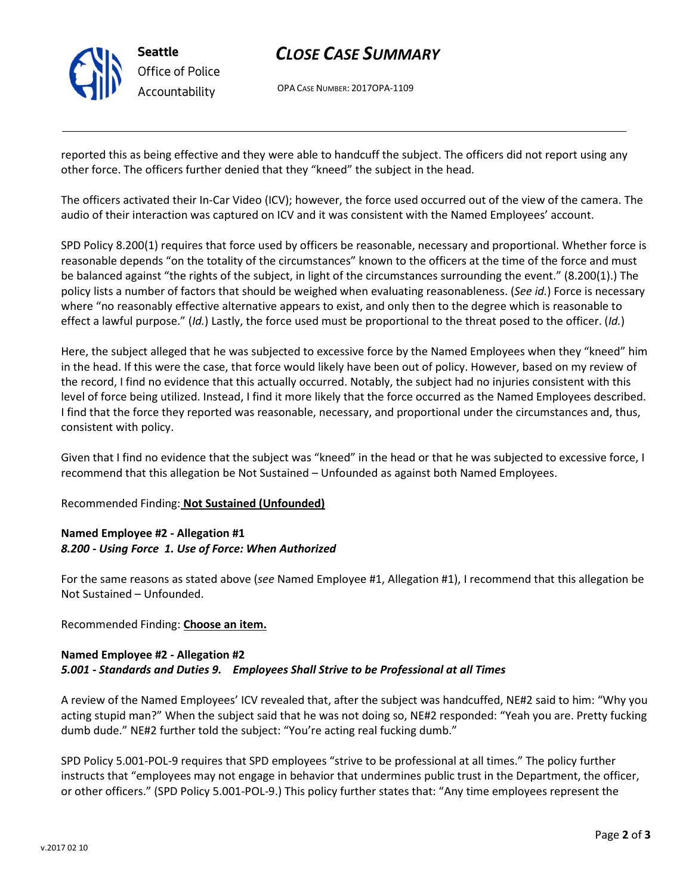

Seattle Office of Police Accountability

# CLOSE CASE SUMMARY

OPA CASE NUMBER: 2017OPA-1109

reported this as being effective and they were able to handcuff the subject. The officers did not report using any other force. The officers further denied that they "kneed" the subject in the head.

The officers activated their In-Car Video (ICV); however, the force used occurred out of the view of the camera. The audio of their interaction was captured on ICV and it was consistent with the Named Employees' account.

SPD Policy 8.200(1) requires that force used by officers be reasonable, necessary and proportional. Whether force is reasonable depends "on the totality of the circumstances" known to the officers at the time of the force and must be balanced against "the rights of the subject, in light of the circumstances surrounding the event." (8.200(1).) The policy lists a number of factors that should be weighed when evaluating reasonableness. (See id.) Force is necessary where "no reasonably effective alternative appears to exist, and only then to the degree which is reasonable to effect a lawful purpose." (Id.) Lastly, the force used must be proportional to the threat posed to the officer. (Id.)

Here, the subject alleged that he was subjected to excessive force by the Named Employees when they "kneed" him in the head. If this were the case, that force would likely have been out of policy. However, based on my review of the record, I find no evidence that this actually occurred. Notably, the subject had no injuries consistent with this level of force being utilized. Instead, I find it more likely that the force occurred as the Named Employees described. I find that the force they reported was reasonable, necessary, and proportional under the circumstances and, thus, consistent with policy.

Given that I find no evidence that the subject was "kneed" in the head or that he was subjected to excessive force, I recommend that this allegation be Not Sustained – Unfounded as against both Named Employees.

## Recommended Finding: Not Sustained (Unfounded)

## Named Employee #2 - Allegation #1 8.200 - Using Force 1. Use of Force: When Authorized

For the same reasons as stated above (see Named Employee #1, Allegation #1), I recommend that this allegation be Not Sustained – Unfounded.

### Recommended Finding: Choose an item.

### Named Employee #2 - Allegation #2 5.001 - Standards and Duties 9. Employees Shall Strive to be Professional at all Times

A review of the Named Employees' ICV revealed that, after the subject was handcuffed, NE#2 said to him: "Why you acting stupid man?" When the subject said that he was not doing so, NE#2 responded: "Yeah you are. Pretty fucking dumb dude." NE#2 further told the subject: "You're acting real fucking dumb."

SPD Policy 5.001-POL-9 requires that SPD employees "strive to be professional at all times." The policy further instructs that "employees may not engage in behavior that undermines public trust in the Department, the officer, or other officers." (SPD Policy 5.001-POL-9.) This policy further states that: "Any time employees represent the